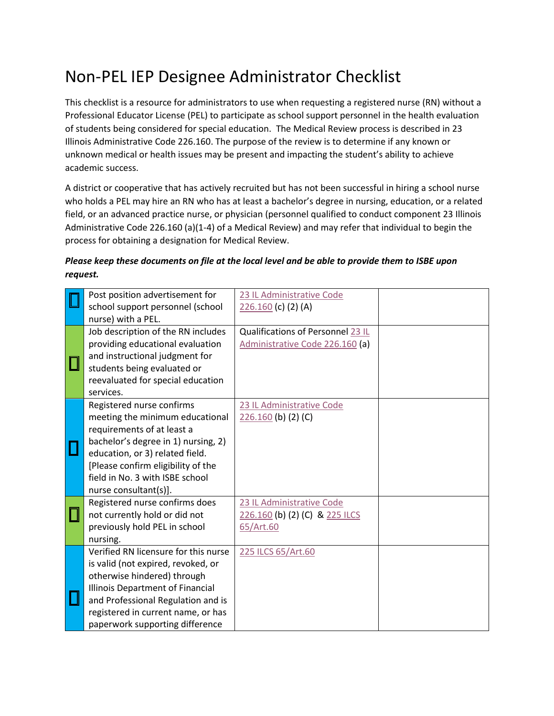## Non-PEL IEP Designee Administrator Checklist

This checklist is a resource for administrators to use when requesting a registered nurse (RN) without a Professional Educator License (PEL) to participate as school support personnel in the health evaluation of students being considered for special education. The Medical Review process is described in 23 Illinois Administrative Code 226.160. The purpose of the review is to determine if any known or unknown medical or health issues may be present and impacting the student's ability to achieve academic success.

A district or cooperative that has actively recruited but has not been successful in hiring a school nurse who holds a PEL may hire an RN who has at least a bachelor's degree in nursing, education, or a related field, or an advanced practice nurse, or physician (personnel qualified to conduct component 23 Illinois Administrative Code 226.160 (a)(1-4) of a Medical Review) and may refer that individual to begin the process for obtaining a designation for Medical Review.

## *Please keep these documents on file at the local level and be able to provide them to ISBE upon request.*

|  | Post position advertisement for      | 23 IL Administrative Code         |  |
|--|--------------------------------------|-----------------------------------|--|
|  | school support personnel (school     | $226.160$ (c) (2) (A)             |  |
|  | nurse) with a PEL.                   |                                   |  |
|  | Job description of the RN includes   | Qualifications of Personnel 23 IL |  |
|  | providing educational evaluation     | Administrative Code 226.160 (a)   |  |
|  | and instructional judgment for       |                                   |  |
|  | students being evaluated or          |                                   |  |
|  | reevaluated for special education    |                                   |  |
|  | services.                            |                                   |  |
|  | Registered nurse confirms            | 23 IL Administrative Code         |  |
|  | meeting the minimum educational      | $226.160$ (b) (2) (C)             |  |
|  | requirements of at least a           |                                   |  |
|  | bachelor's degree in 1) nursing, 2)  |                                   |  |
|  | education, or 3) related field.      |                                   |  |
|  | [Please confirm eligibility of the   |                                   |  |
|  | field in No. 3 with ISBE school      |                                   |  |
|  | nurse consultant(s)].                |                                   |  |
|  | Registered nurse confirms does       | 23 IL Administrative Code         |  |
|  | not currently hold or did not        | 226.160 (b) (2) (C) & 225 ILCS    |  |
|  | previously hold PEL in school        | 65/Art.60                         |  |
|  | nursing.                             |                                   |  |
|  | Verified RN licensure for this nurse | 225 ILCS 65/Art.60                |  |
|  | is valid (not expired, revoked, or   |                                   |  |
|  | otherwise hindered) through          |                                   |  |
|  | Illinois Department of Financial     |                                   |  |
|  | and Professional Regulation and is   |                                   |  |
|  | registered in current name, or has   |                                   |  |
|  | paperwork supporting difference      |                                   |  |